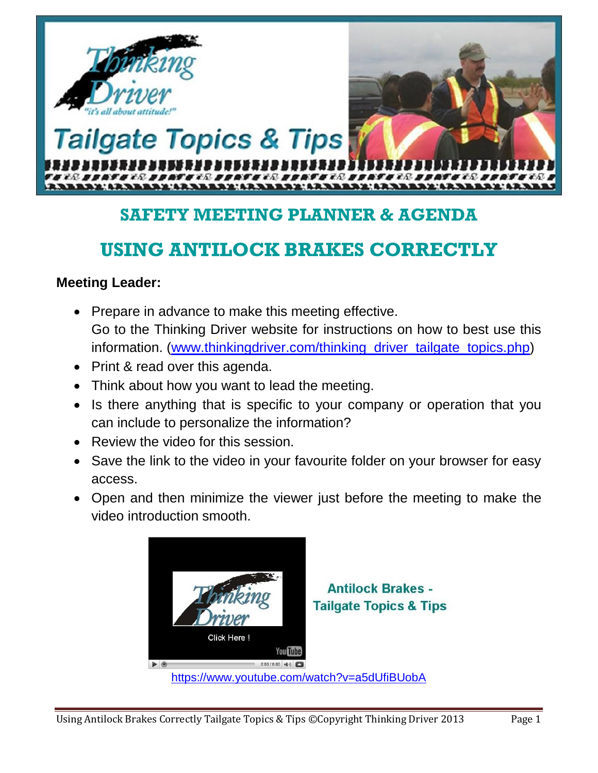

## **SAFETY MEETING PLANNER & AGENDA**

# **USING ANTILOCK BRAKES CORRECTLY**

#### **Meeting Leader:**

- Prepare in advance to make this meeting effective. Go to the Thinking Driver website for instructions on how to best use this information. (www.thinkingdriver.com/thinking\_driver\_tailgate\_topics.php)
- Print & read over this agenda.
- Think about how you want to lead the meeting.
- Is there anything that is specific to your company or operation that you can include to personalize the information?
- Review the video for this session.
- Save the link to the video in your favourite folder on your browser for easy access.
- Open and then minimize the viewer just before the meeting to make the video introduction smooth.

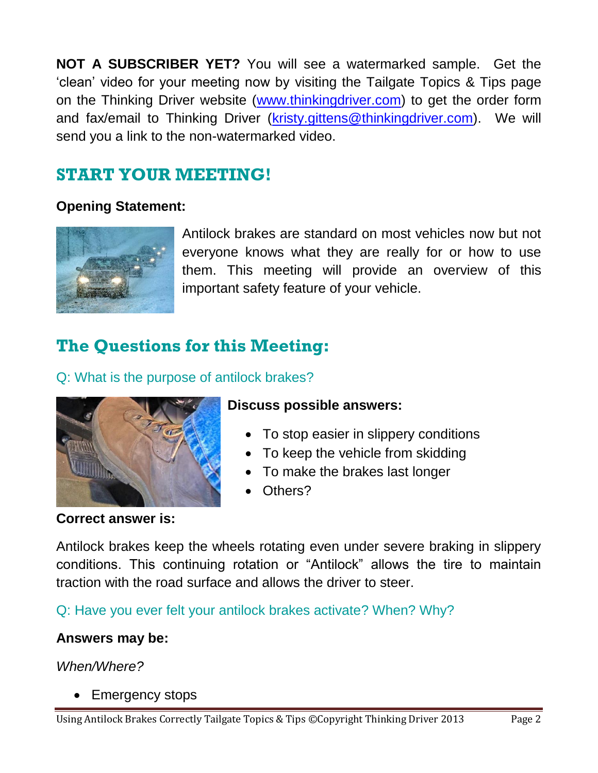**NOT A SUBSCRIBER YET?** You will see a watermarked sample. Get the 'clean' video for your meeting now by visiting the Tailgate Topics & Tips page on the Thinking Driver website (www.thinkingdriver.com) to get the order form and fax/email to Thinking Driver [\(kristy.gittens@thinkingdriver.com\)](mailto:kristy.gittens@thinkingdriver.com). We will send you a link to the non-watermarked video.

## **START YOUR MEETING!**

### **Opening Statement:**



Antilock brakes are standard on most vehicles now but not everyone knows what they are really for or how to use them. This meeting will provide an overview of this important safety feature of your vehicle.

# **The Questions for this Meeting:**

Q: What is the purpose of antilock brakes?



### **Discuss possible answers:**

- To stop easier in slippery conditions
- To keep the vehicle from skidding
- To make the brakes last longer
- Others?

#### **Correct answer is:**

Antilock brakes keep the wheels rotating even under severe braking in slippery conditions. This continuing rotation or "Antilock" allows the tire to maintain traction with the road surface and allows the driver to steer.

Q: Have you ever felt your antilock brakes activate? When? Why?

#### **Answers may be:**

*When/Where?*

• Emergency stops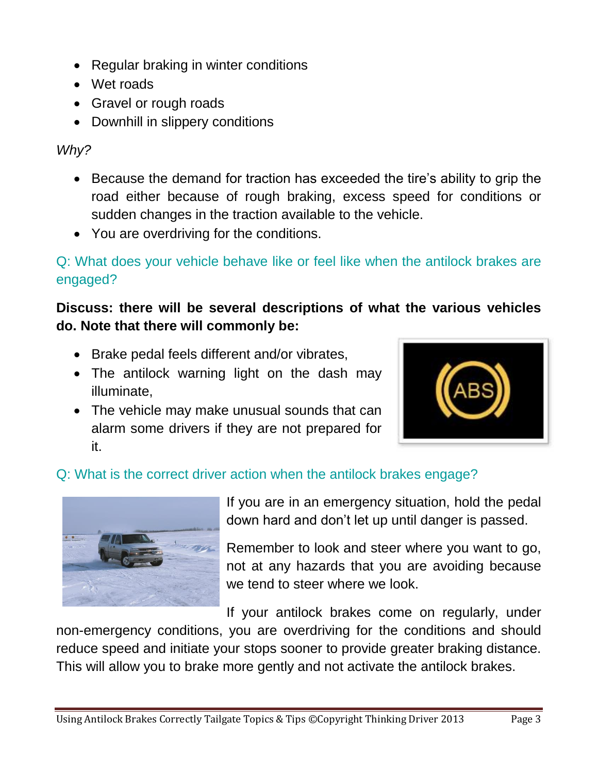- Regular braking in winter conditions
- Wet roads
- Gravel or rough roads
- Downhill in slippery conditions

*Why?*

- Because the demand for traction has exceeded the tire's ability to grip the road either because of rough braking, excess speed for conditions or sudden changes in the traction available to the vehicle.
- You are overdriving for the conditions.

Q: What does your vehicle behave like or feel like when the antilock brakes are engaged?

### **Discuss: there will be several descriptions of what the various vehicles do. Note that there will commonly be:**

- Brake pedal feels different and/or vibrates,
- The antilock warning light on the dash may illuminate,
- The vehicle may make unusual sounds that can alarm some drivers if they are not prepared for it.



### Q: What is the correct driver action when the antilock brakes engage?



If you are in an emergency situation, hold the pedal down hard and don't let up until danger is passed.

Remember to look and steer where you want to go, not at any hazards that you are avoiding because we tend to steer where we look.

If your antilock brakes come on regularly, under

non-emergency conditions, you are overdriving for the conditions and should reduce speed and initiate your stops sooner to provide greater braking distance. This will allow you to brake more gently and not activate the antilock brakes.